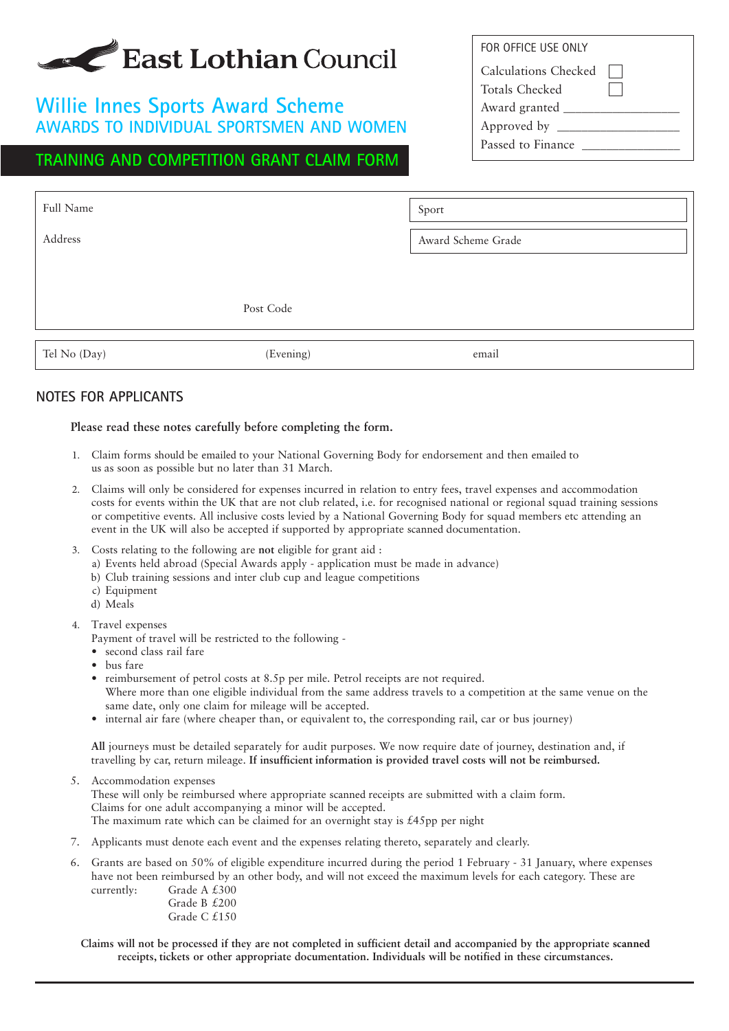# East Lothian Council

### **Willie Innes Sports Award Scheme AWARDS TO INDIVIDUAL SPORTSMEN AND WOMEN**

### **TRAINING AND COMPETITION GRANT CLAIM FORM**

| FOR OFFICE USE ONLY         |  |
|-----------------------------|--|
| <b>Calculations Checked</b> |  |
| Totals Checked              |  |
| Award granted _             |  |
| Approved by _               |  |
| Passed to Finance           |  |

| Full Name    |           | Sport              |
|--------------|-----------|--------------------|
| Address      |           | Award Scheme Grade |
|              |           |                    |
|              | Post Code |                    |
| Tel No (Day) | (Evening) | email              |

#### **NOTES FOR APPLICANTS**

#### **Please read these notes carefully before completing the form.**

- 1. Claim forms should be emailed to your National Governing Body for endorsement and then emailed to us as soon as possible but no later than 31 March.
- 2. Claims will only be considered for expenses incurred in relation to entry fees, travel expenses and accommodation costs for events within the UK that are not club related, i.e. for recognised national or regional squad training sessions or competitive events. All inclusive costs levied by a National Governing Body for squad members etc attending an event in the UK will also be accepted if supported by appropriate scanned documentation.
- 3. Costs relating to the following are **not** eligible for grant aid :
	- a) Events held abroad (Special Awards apply application must be made in advance)
	- b) Club training sessions and inter club cup and league competitions
	- c) Equipment
	- d) Meals
- 4. Travel expenses
	- Payment of travel will be restricted to the following -
	- second class rail fare
	- bus fare
	- reimbursement of petrol costs at 8.5p per mile. Petrol receipts are not required. Where more than one eligible individual from the same address travels to a competition at the same venue on the same date, only one claim for mileage will be accepted.
	- internal air fare (where cheaper than, or equivalent to, the corresponding rail, car or bus journey)

**All** journeys must be detailed separately for audit purposes. We now require date of journey, destination and, if travelling by car, return mileage. **If insufficient information is provided travel costs will not be reimbursed.**

5. Accommodation expenses

These will only be reimbursed where appropriate scanned receipts are submitted with a claim form. Claims for one adult accompanying a minor will be accepted. The maximum rate which can be claimed for an overnight stay is  $\text{\pounds}45\text{pp}$  per night

- 7. Applicants must denote each event and the expenses relating thereto, separately and clearly.
- 6. Grants are based on 50% of eligible expenditure incurred during the period 1 February 31 January, where expenses have not been reimbursed by an other body, and will not exceed the maximum levels for each category. These are currently: Grade A £300

Grade B £200 Grade C £150

**Claims will not be processed if they are not completed in sufficient detail and accompanied by the appropriate scanned receipts, tickets or other appropriate documentation. Individuals will be notified in these circumstances.**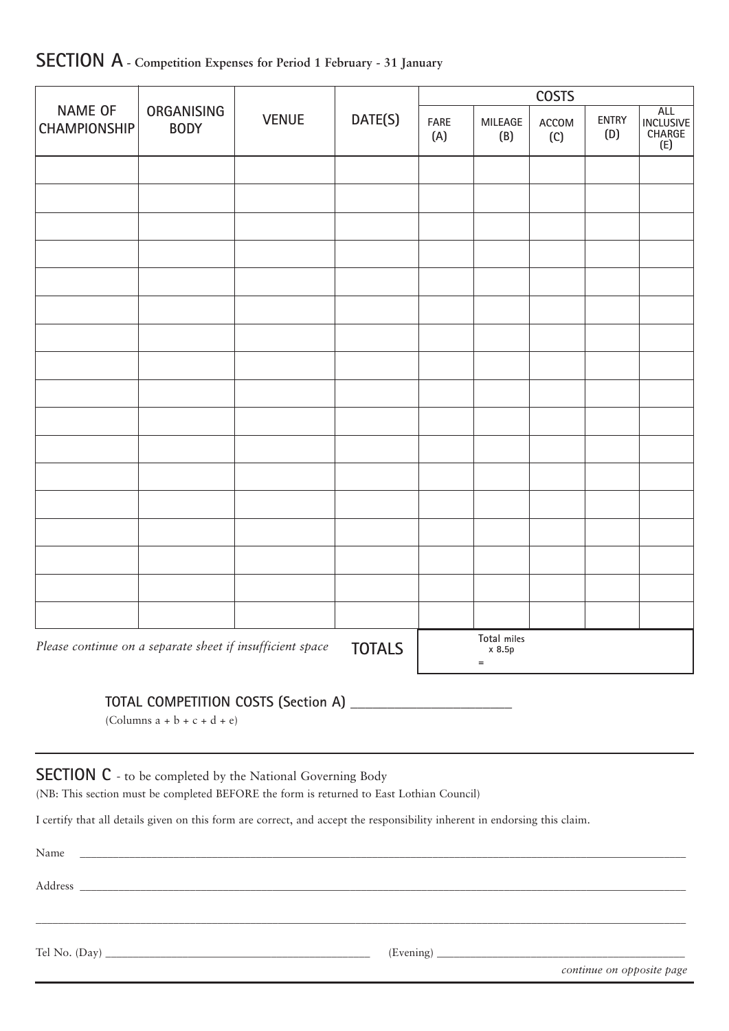|                                                                                                      |             |                | <b>COSTS</b> |                                |                                                 |  |  |
|------------------------------------------------------------------------------------------------------|-------------|----------------|--------------|--------------------------------|-------------------------------------------------|--|--|
| <b>NAME OF</b><br><b>ORGANISING</b><br>DATE(S)<br><b>VENUE</b><br><b>CHAMPIONSHIP</b><br><b>BODY</b> | FARE<br>(A) | MILEAGE<br>(B) | ACCOM<br>(C) | ENTRY<br>(D)                   | <b>ALL</b><br><b>INCLUSIVE</b><br>CHARGE<br>(E) |  |  |
|                                                                                                      |             |                |              |                                |                                                 |  |  |
|                                                                                                      |             |                |              |                                |                                                 |  |  |
|                                                                                                      |             |                |              |                                |                                                 |  |  |
|                                                                                                      |             |                |              |                                |                                                 |  |  |
|                                                                                                      |             |                |              |                                |                                                 |  |  |
|                                                                                                      |             |                |              |                                |                                                 |  |  |
|                                                                                                      |             |                |              |                                |                                                 |  |  |
|                                                                                                      |             |                |              |                                |                                                 |  |  |
|                                                                                                      |             |                |              |                                |                                                 |  |  |
|                                                                                                      |             |                |              |                                |                                                 |  |  |
|                                                                                                      |             |                |              |                                |                                                 |  |  |
|                                                                                                      |             |                |              |                                |                                                 |  |  |
|                                                                                                      |             |                |              |                                |                                                 |  |  |
|                                                                                                      |             |                |              |                                |                                                 |  |  |
|                                                                                                      |             |                |              |                                |                                                 |  |  |
|                                                                                                      |             |                |              |                                |                                                 |  |  |
|                                                                                                      |             |                |              |                                |                                                 |  |  |
| Please continue on a separate sheet if insufficient space                                            |             | <b>TOTALS</b>  |              | Total miles<br>x 8.5p<br>$\!=$ |                                                 |  |  |

## **SECTION A - Competition Expenses for Period 1 February - 31 January**

**TOTAL COMPETITION COSTS (Section A)** \_\_\_\_\_\_\_\_\_\_\_\_\_\_\_\_\_\_\_\_\_\_

(Columns a + b + c + d + e)

**SECTION C** - to be completed by the National Governing Body

(NB: This section must be completed BEFORE the form is returned to East Lothian Council)

I certify that all details given on this form are correct, and accept the responsibility inherent in endorsing this claim.

| Name |                           |
|------|---------------------------|
|      |                           |
|      |                           |
|      |                           |
|      | continue on opposite page |